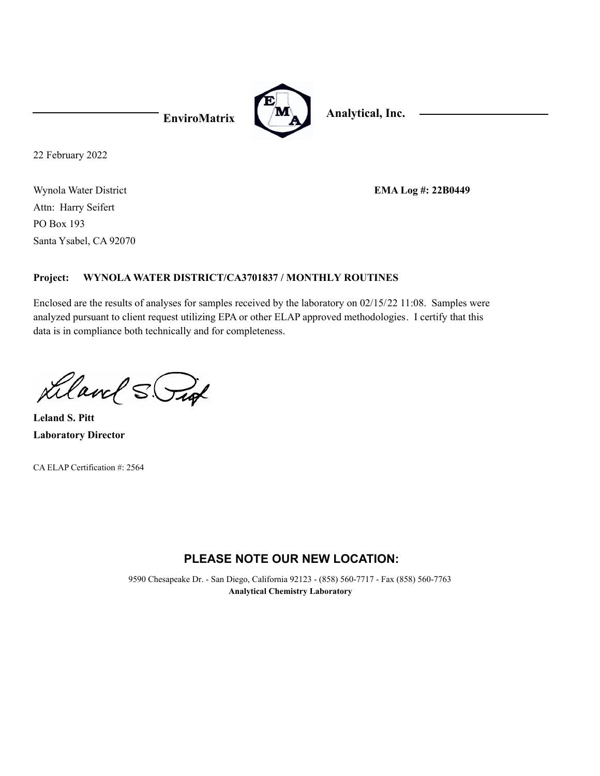

22 February 2022

Wynola Water District Santa Ysabel, CA 92070 PO Box 193 Attn: Harry Seifert

**EMA Log #: 22B0449**

### **WYNOLA WATER DISTRICT/CA3701837 / MONTHLY ROUTINES Project:**

Enclosed are the results of analyses for samples received by the laboratory on 02/15/22 11:08. Samples were analyzed pursuant to client request utilizing EPA or other ELAP approved methodologies. I certify that this data is in compliance both technically and for completeness.

Liland S. Put

**Laboratory Director Leland S. Pitt**

CA ELAP Certification #: 2564

# **PLEASE NOTE OUR NEW LOCATION:**

9590 Chesapeake Dr. - San Diego, California 92123 - (858) 560-7717 - Fax (858) 560-7763 **Analytical Chemistry Laboratory**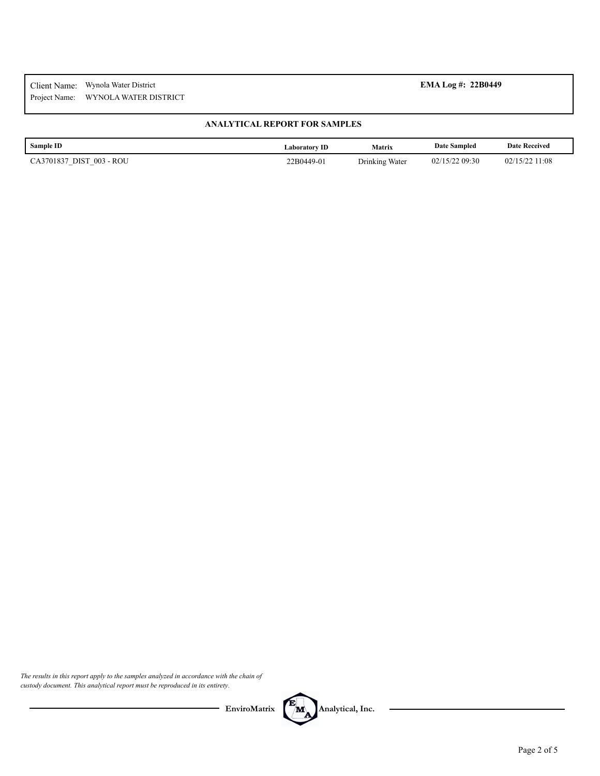### **ANALYTICAL REPORT FOR SAMPLES**

| Sample ID                                                                              | Laboratorv ID | <b>Matrix</b>  | <b>Date Sampled</b>  | <b>Date Received</b> |
|----------------------------------------------------------------------------------------|---------------|----------------|----------------------|----------------------|
| 003 - ROU<br>DIST<br>CA3701837<br>$\overline{\phantom{a}}$<br>$\overline{\phantom{a}}$ | 22B0449-01    | Drinking Water | /22 09:30<br>02/15/2 | 11:08<br>02/15/      |

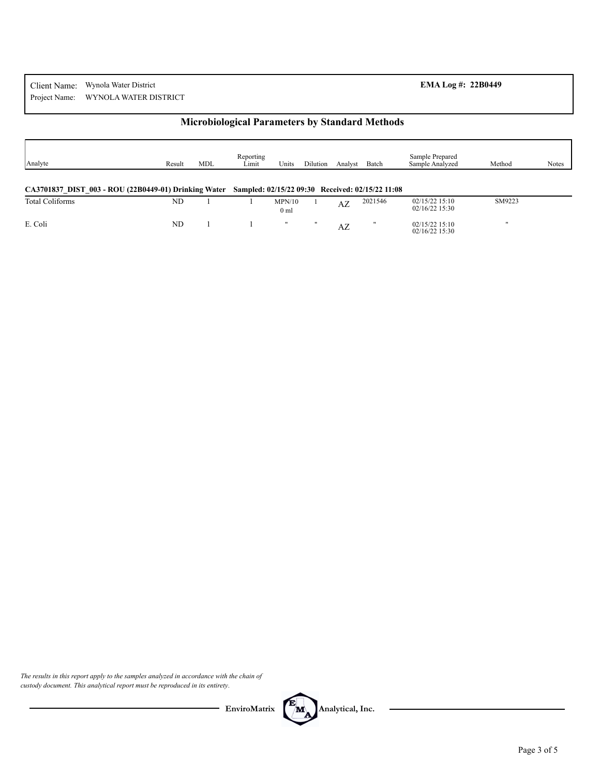## **Microbiological Parameters by Standard Methods**

| Analyte                                              | Result | <b>MDL</b> | Reporting<br>Limit                               | Units                     | Dilution | Analyst | Batch   | Sample Prepared<br>Sample Analyzed   | Method       | <b>Notes</b> |
|------------------------------------------------------|--------|------------|--------------------------------------------------|---------------------------|----------|---------|---------|--------------------------------------|--------------|--------------|
| CA3701837 DIST 003 - ROU (22B0449-01) Drinking Water |        |            | Sampled: 02/15/22 09:30 Received: 02/15/22 11:08 |                           |          |         |         |                                      |              |              |
| <b>Total Coliforms</b>                               | ND     |            |                                                  | MPN/10<br>0 <sub>m1</sub> |          | AZ      | 2021546 | $02/15/22$ 15:10<br>$02/16/22$ 15:30 | SM9223       |              |
| E. Coli                                              | ND.    |            |                                                  |                           |          | AZ      |         | $02/15/22$ 15:10<br>$02/16/22$ 15:30 | $\mathbf{u}$ |              |

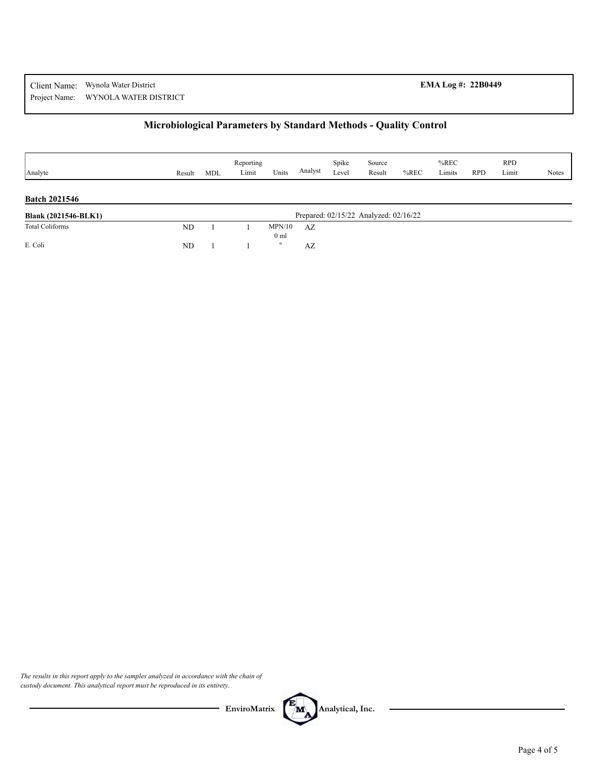# **Microbiological Parameters by Standard Methods - Quality Control**

| Analyte                     | Result    | MDL | Reporting<br>Limit | Units                     | Analyst | Spike<br>Level | Source<br>Result                      | $%$ REC | $%$ REC<br>Limits | <b>RPD</b> | <b>RPD</b><br>Limit | <b>Notes</b> |
|-----------------------------|-----------|-----|--------------------|---------------------------|---------|----------------|---------------------------------------|---------|-------------------|------------|---------------------|--------------|
| <b>Batch 2021546</b>        |           |     |                    |                           |         |                |                                       |         |                   |            |                     |              |
| <b>Blank (2021546-BLK1)</b> |           |     |                    |                           |         |                | Prepared: 02/15/22 Analyzed: 02/16/22 |         |                   |            |                     |              |
| <b>Total Coliforms</b>      | <b>ND</b> |     |                    | MPN/10<br>0 <sub>ml</sub> | AZ      |                |                                       |         |                   |            |                     |              |
| E. Coli                     | ND        |     |                    | $^{\prime\prime}$         | AZ      |                |                                       |         |                   |            |                     |              |

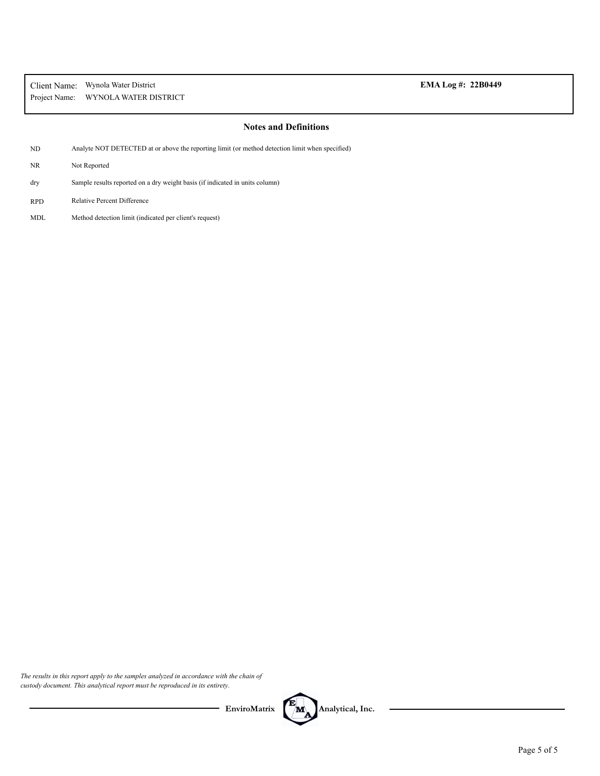### **Notes and Definitions**

- ND Analyte NOT DETECTED at or above the reporting limit (or method detection limit when specified)
- NR Not Reported
- Sample results reported on a dry weight basis (if indicated in units column) dry
- RPD Relative Percent Difference
- MDL Method detection limit (indicated per client's request)